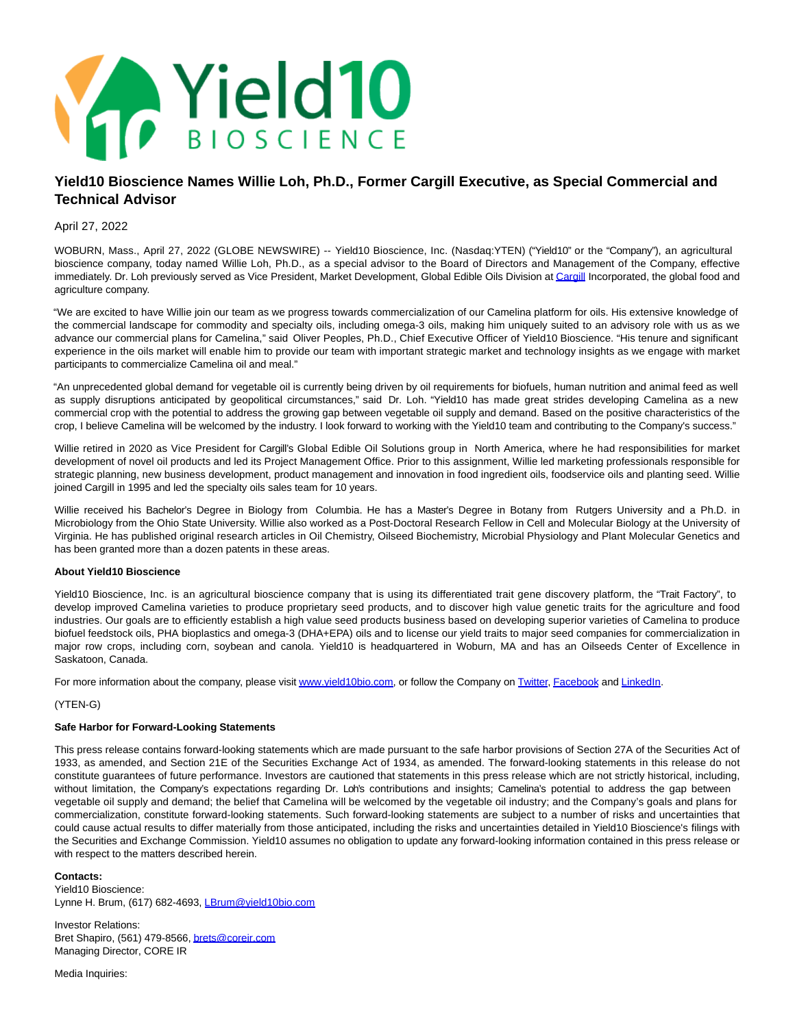

# **Yield10 Bioscience Names Willie Loh, Ph.D., Former Cargill Executive, as Special Commercial and Technical Advisor**

## April 27, 2022

WOBURN, Mass., April 27, 2022 (GLOBE NEWSWIRE) -- Yield10 Bioscience, Inc. (Nasdaq:YTEN) ("Yield10" or the "Company"), an agricultural bioscience company, today named Willie Loh, Ph.D., as a special advisor to the Board of Directors and Management of the Company, effective immediately. Dr. Loh previously served as Vice President, Market Development, Global Edible Oils Division a[t Cargill I](https://www.globenewswire.com/Tracker?data=WokZ9Gt20hcRK-P2ZpOYDE31TQf32vqm5nVY6xIFQWA5VyFPJAcyK3oWeTkLF9EwQvW16pmg8oo5UA5cWTR16w==)ncorporated, the global food and agriculture company.

"We are excited to have Willie join our team as we progress towards commercialization of our Camelina platform for oils. His extensive knowledge of the commercial landscape for commodity and specialty oils, including omega-3 oils, making him uniquely suited to an advisory role with us as we advance our commercial plans for Camelina," said Oliver Peoples, Ph.D., Chief Executive Officer of Yield10 Bioscience. "His tenure and significant experience in the oils market will enable him to provide our team with important strategic market and technology insights as we engage with market participants to commercialize Camelina oil and meal."

"An unprecedented global demand for vegetable oil is currently being driven by oil requirements for biofuels, human nutrition and animal feed as well as supply disruptions anticipated by geopolitical circumstances," said Dr. Loh. "Yield10 has made great strides developing Camelina as a new commercial crop with the potential to address the growing gap between vegetable oil supply and demand. Based on the positive characteristics of the crop, I believe Camelina will be welcomed by the industry. I look forward to working with the Yield10 team and contributing to the Company's success."

Willie retired in 2020 as Vice President for Cargill's Global Edible Oil Solutions group in North America, where he had responsibilities for market development of novel oil products and led its Project Management Office. Prior to this assignment, Willie led marketing professionals responsible for strategic planning, new business development, product management and innovation in food ingredient oils, foodservice oils and planting seed. Willie joined Cargill in 1995 and led the specialty oils sales team for 10 years.

Willie received his Bachelor's Degree in Biology from Columbia. He has a Master's Degree in Botany from Rutgers University and a Ph.D. in Microbiology from the Ohio State University. Willie also worked as a Post-Doctoral Research Fellow in Cell and Molecular Biology at the University of Virginia. He has published original research articles in Oil Chemistry, Oilseed Biochemistry, Microbial Physiology and Plant Molecular Genetics and has been granted more than a dozen patents in these areas.

### **About Yield10 Bioscience**

Yield10 Bioscience, Inc. is an agricultural bioscience company that is using its differentiated trait gene discovery platform, the "Trait Factory", to develop improved Camelina varieties to produce proprietary seed products, and to discover high value genetic traits for the agriculture and food industries. Our goals are to efficiently establish a high value seed products business based on developing superior varieties of Camelina to produce biofuel feedstock oils, PHA bioplastics and omega-3 (DHA+EPA) oils and to license our yield traits to major seed companies for commercialization in major row crops, including corn, soybean and canola. Yield10 is headquartered in Woburn, MA and has an Oilseeds Center of Excellence in Saskatoon, Canada.

For more information about the company, please visit www.vield10bio.com, or follow the Company on [Twitter,](https://www.globenewswire.com/Tracker?data=rZ7JVNx9Q9o1Vd-ZR0na4Gfc1hubFnmw6RfaymOCGYpN-wfLACQEgNd_oXmebdHfbXGPp91qByPYcnsQp9ba7A==) [Facebook a](https://www.globenewswire.com/Tracker?data=mQ4LZ8WCPUqpfXDYfjdQpG0roq4t6kGzvANJljv4IhHbo-ZA5izVotKp48b7aQKHrRUX5MeboxWLPoCGw6GkU4TXk3P45SM4iR4fSCty6xY=)nd [LinkedIn.](https://www.globenewswire.com/Tracker?data=lJF1jHjRvwmRFEPgUSbB58FP3pLh3oOnWXeUFJ4-b-D4AcO008f8OvOFFwhcTv4PTJB-e9K-YwsqKQY6lCCFCW8QlZa0Zv-uK3ywNXWVsX8=)

### (YTEN-G)

### **Safe Harbor for Forward-Looking Statements**

This press release contains forward-looking statements which are made pursuant to the safe harbor provisions of Section 27A of the Securities Act of 1933, as amended, and Section 21E of the Securities Exchange Act of 1934, as amended. The forward-looking statements in this release do not constitute guarantees of future performance. Investors are cautioned that statements in this press release which are not strictly historical, including, without limitation, the Company's expectations regarding Dr. Loh's contributions and insights; Camelina's potential to address the gap between vegetable oil supply and demand; the belief that Camelina will be welcomed by the vegetable oil industry; and the Company's goals and plans for commercialization, constitute forward-looking statements. Such forward-looking statements are subject to a number of risks and uncertainties that could cause actual results to differ materially from those anticipated, including the risks and uncertainties detailed in Yield10 Bioscience's filings with the Securities and Exchange Commission. Yield10 assumes no obligation to update any forward-looking information contained in this press release or with respect to the matters described herein.

### **Contacts:**

Yield10 Bioscience: Lynne H. Brum, (617) 682-4693, [LBrum@yield10bio.com](https://www.globenewswire.com/Tracker?data=CNuzHONIOLODdiq_7dFMH4A23DO1nib0tTb-dKZX_tO_I8YrZeWarkidbqZ09ixVEtoxhr7kPbQT2o9HwKJRMPMs3bM1wjVU5jPRp_inJvk=)

Investor Relations: Bret Shapiro, (561) 479-8566[, brets@coreir.com](https://www.globenewswire.com/Tracker?data=bk7yYQX2WaLJ7xcP8XDoh4ejQqnCjBypNfQFwG9ByLuHGrBvPCrkkAZVXrXHH81RDPNh7rWK-DxffycjkM7WhA==) Managing Director, CORE IR

Media Inquiries: